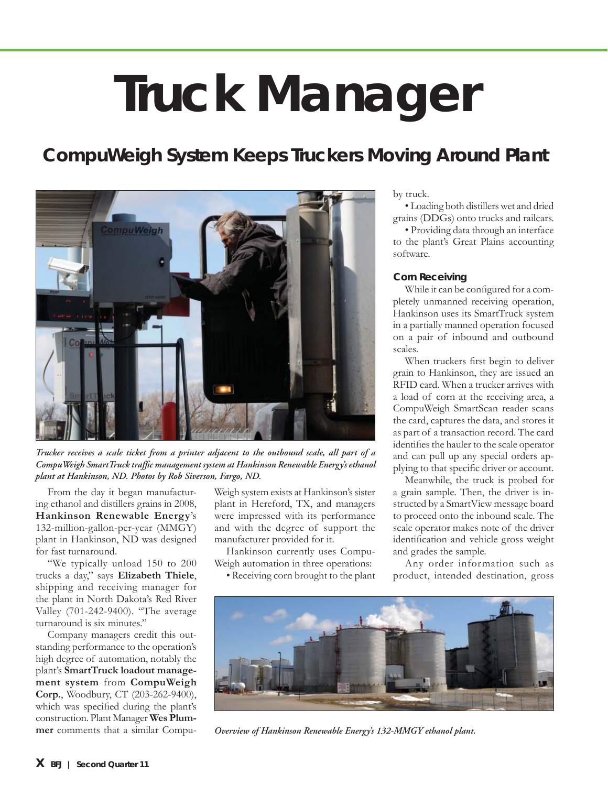# **Truck Manager**

# *CompuWeigh System Keeps Truckers Moving Around Plant*



*Trucker receives a scale ticket from a printer adjacent to the outbound scale, all part of a*  CompuWeigh SmartTruck traffic management system at Hankinson Renewable Energy's ethanol *plant at Hankinson, ND. Photos by Rob Siverson, Fargo, ND.*

From the day it began manufacturing ethanol and distillers grains in 2008, **Hankinson Renewable Energy**'s 132-million-gallon-per-year (MMGY) plant in Hankinson, ND was designed for fast turnaround.

"We typically unload 150 to 200 trucks a day," says **Elizabeth Thiele**, shipping and receiving manager for the plant in North Dakota's Red River Valley (701-242-9400). "The average turnaround is six minutes."

Company managers credit this outstanding performance to the operation's high degree of automation, notably the plant's **SmartTruck loadout management system** from **CompuWeigh Corp.**, Woodbury, CT (203-262-9400), which was specified during the plant's construction. Plant Manager **Wes Plummer** comments that a similar Compu-

Weigh system exists at Hankinson's sister plant in Hereford, TX, and managers were impressed with its performance and with the degree of support the manufacturer provided for it.

Hankinson currently uses Compu-Weigh automation in three operations:

• Receiving corn brought to the plant

by truck.

• Loading both distillers wet and dried grains (DDGs) onto trucks and railcars.

• Providing data through an interface to the plant's Great Plains accounting software.

## **Corn Receiving**

While it can be configured for a completely unmanned receiving operation, Hankinson uses its SmartTruck system in a partially manned operation focused on a pair of inbound and outbound scales.

When truckers first begin to deliver grain to Hankinson, they are issued an RFID card. When a trucker arrives with a load of corn at the receiving area, a CompuWeigh SmartScan reader scans the card, captures the data, and stores it as part of a transaction record. The card identifies the hauler to the scale operator and can pull up any special orders applying to that specific driver or account.

Meanwhile, the truck is probed for a grain sample. Then, the driver is instructed by a SmartView message board to proceed onto the inbound scale. The scale operator makes note of the driver identification and vehicle gross weight and grades the sample.

Any order information such as product, intended destination, gross



*Overview of Hankinson Renewable Energy's 132-MMGY ethanol plant.*